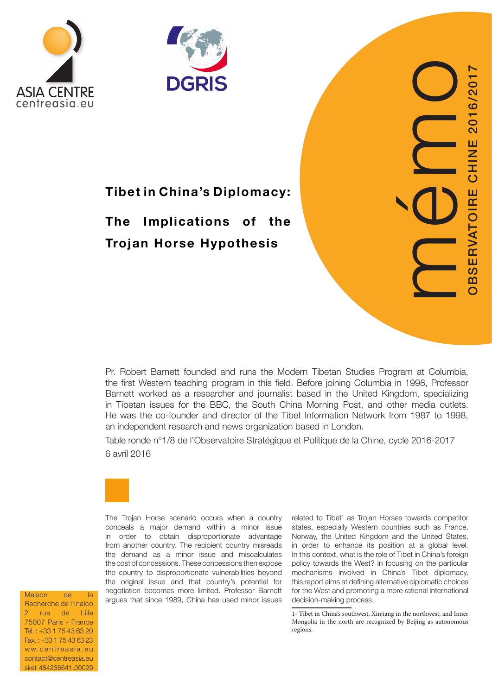



# Tibet in China's Diplomacy:

# The Implications of the Trojan Horse Hypothesis

Pr. Robert Barnett founded and runs the Modern Tibetan Studies Program at Columbia, the first Western teaching program in this field. Before joining Columbia in 1998, Professor Barnett worked as a researcher and journalist based in the United Kingdom, specializing in Tibetan issues for the BBC, the South China Morning Post, and other media outlets. He was the co-founder and director of the Tibet Information Network from 1987 to 1998, an independent research and news organization based in London.

Table ronde n°1/8 de l'Observatoire Stratégique et Politique de la Chine, cycle 2016-2017 6 avril 2016



The Trojan Horse scenario occurs when a country conceals a major demand within a minor issue in order to obtain disproportionate advantage from another country. The recipient country misreads the demand as a minor issue and miscalculates the cost of concessions. These concessions then expose the country to disproportionate vulnerabilities beyond the original issue and that country's potential for negotiation becomes more limited. Professor Barnett argues that since 1989, China has used minor issues

related to Tibet 1 as Trojan Horses towards competitor states, especially Western countries such as France, Norway, the United Kingdom and the United States, in order to enhance its position at a global level. In this context, what is the role of Tibet in China's foreign policy towards the West? In focusing on the particular mechanisms involved in China's Tibet diplomacy, this report aims at defining alternative diplomatic choices for the West and promoting a more rational international decision-making process.

mémo

OBSERVATOIRE CHINE 2016/2017

BSERVATOIRE CHINE 2016/

1- Tibet in China's southwest, Xinjiang in the northwest, and Inner Mongolia in the north are recognized by Beijing as autonomous regions.

Maison de la Recherche de l'Inalco 2 rue de Lille 75007 Paris - France Tél. : +33 1 75 43 63 20 Fax. : +33 1 75 43 63 23 ww.centreasia.eu contact@centreasia.eu siret 484236641.00029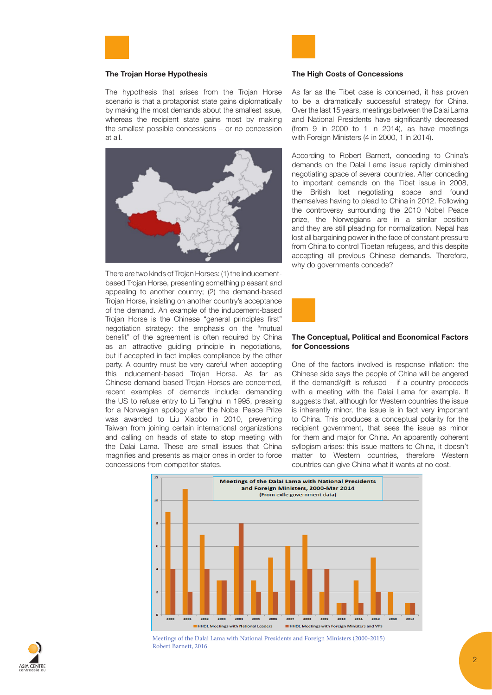

#### The Trojan Horse Hypothesis

The hypothesis that arises from the Trojan Horse scenario is that a protagonist state gains diplomatically by making the most demands about the smallest issue, whereas the recipient state gains most by making the smallest possible concessions – or no concession at all.



There are two kinds of Trojan Horses: (1) the inducementbased Trojan Horse, presenting something pleasant and appealing to another country; (2) the demand-based Trojan Horse, insisting on another country's acceptance of the demand. An example of the inducement-based Trojan Horse is the Chinese "general principles first" negotiation strategy: the emphasis on the "mutual benefit" of the agreement is often required by China as an attractive guiding principle in negotiations, but if accepted in fact implies compliance by the other party. A country must be very careful when accepting this inducement-based Trojan Horse. As far as Chinese demand-based Trojan Horses are concerned, recent examples of demands include: demanding the US to refuse entry to Li Tenghui in 1995, pressing for a Norwegian apology after the Nobel Peace Prize was awarded to Liu Xiaobo in 2010, preventing Taiwan from joining certain international organizations and calling on heads of state to stop meeting with the Dalai Lama. These are small issues that China magnifies and presents as major ones in order to force concessions from competitor states.



## The High Costs of Concessions

As far as the Tibet case is concerned, it has proven to be a dramatically successful strategy for China. Over the last 15 years, meetings between the Dalai Lama and National Presidents have significantly decreased (from 9 in 2000 to 1 in 2014), as have meetings with Foreign Ministers (4 in 2000, 1 in 2014).

According to Robert Barnett, conceding to China's demands on the Dalai Lama issue rapidly diminished negotiating space of several countries. After conceding to important demands on the Tibet issue in 2008, the British lost negotiating space and found themselves having to plead to China in 2012. Following the controversy surrounding the 2010 Nobel Peace prize, the Norwegians are in a similar position and they are still pleading for normalization. Nepal has lost all bargaining power in the face of constant pressure from China to control Tibetan refugees, and this despite accepting all previous Chinese demands. Therefore, why do governments concede?



### The Conceptual, Political and Economical Factors for Concessions

One of the factors involved is response inflation: the Chinese side says the people of China will be angered if the demand/gift is refused - if a country proceeds with a meeting with the Dalai Lama for example. It suggests that, although for Western countries the issue is inherently minor, the issue is in fact very important to China. This produces a conceptual polarity for the recipient government, that sees the issue as minor for them and major for China. An apparently coherent syllogism arises: this issue matters to China, it doesn't matter to Western countries, therefore Western countries can give China what it wants at no cost.



Meetings of the Dalai Lama with National Presidents and Foreign Ministers (2000-2015) Robert Barnett, 2016

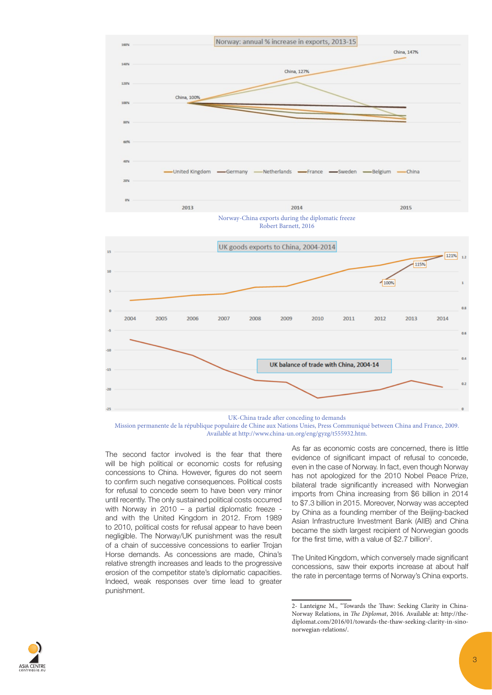







The second factor involved is the fear that there will be high political or economic costs for refusing concessions to China. However, figures do not seem to confirm such negative consequences. Political costs for refusal to concede seem to have been very minor until recently. The only sustained political costs occurred with Norway in 2010 – a partial diplomatic freeze and with the United Kingdom in 2012. From 1989 to 2010, political costs for refusal appear to have been negligible. The Norway/UK punishment was the result of a chain of successive concessions to earlier Trojan Horse demands. As concessions are made, China's relative strength increases and leads to the progressive erosion of the competitor state's diplomatic capacities. Indeed, weak responses over time lead to greater punishment.

As far as economic costs are concerned, there is little evidence of significant impact of refusal to concede, even in the case of Norway. In fact, even though Norway has not apologized for the 2010 Nobel Peace Prize, bilateral trade significantly increased with Norwegian imports from China increasing from \$6 billion in 2014 to \$7.3 billion in 2015. Moreover, Norway was accepted by China as a founding member of the Beijing-backed Asian Infrastructure Investment Bank (AIIB) and China became the sixth largest recipient of Norwegian goods for the first time, with a value of \$2.7 billion<sup>2</sup>.

The United Kingdom, which conversely made significant concessions, saw their exports increase at about half the rate in percentage terms of Norway's China exports.



<sup>2-</sup> Lanteigne M., "Towards the Thaw: Seeking Clarity in China-Norway Relations, in *The Diplomat*, 2016. Available at: http://thediplomat.com/2016/01/towards-the-thaw-seeking-clarity-in-sinonorwegian-relations/.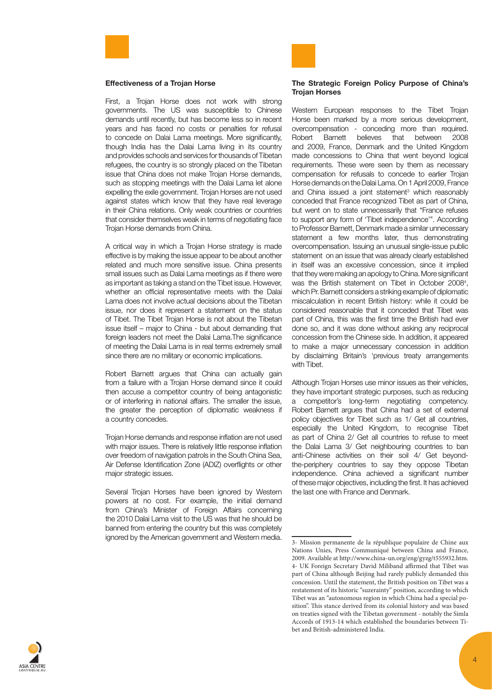

#### Effectiveness of a Trojan Horse

First, a Trojan Horse does not work with strong governments. The US was susceptible to Chinese demands until recently, but has become less so in recent years and has faced no costs or penalties for refusal to concede on Dalai Lama meetings. More significantly, though India has the Dalai Lama living in its country and provides schools and services for thousands of Tibetan refugees, the country is so strongly placed on the Tibetan issue that China does not make Trojan Horse demands, such as stopping meetings with the Dalai Lama let alone expelling the exile government. Trojan Horses are not used against states which know that they have real leverage in their China relations. Only weak countries or countries that consider themselves weak in terms of negotiating face Trojan Horse demands from China.

A critical way in which a Trojan Horse strategy is made effective is by making the issue appear to be about another related and much more sensitive issue. China presents small issues such as Dalai Lama meetings as if there were as important as taking a stand on the Tibet issue. However, whether an official representative meets with the Dalai Lama does not involve actual decisions about the Tibetan issue, nor does it represent a statement on the status of Tibet. The Tibet Trojan Horse is not about the Tibetan issue itself – major to China - but about demanding that foreign leaders not meet the Dalai Lama.The significance of meeting the Dalai Lama is in real terms extremely small since there are no military or economic implications.

Robert Barnett argues that China can actually gain from a failure with a Trojan Horse demand since it could then accuse a competitor country of being antagonistic or of interfering in national affairs. The smaller the issue, the greater the perception of diplomatic weakness if a country concedes.

Trojan Horse demands and response inflation are not used with major issues. There is relatively little response inflation over freedom of navigation patrols in the South China Sea, Air Defense Identification Zone (ADIZ) overflights or other major strategic issues.

Several Trojan Horses have been ignored by Western powers at no cost. For example, the initial demand from China's Minister of Foreign Affairs concerning the 2010 Dalai Lama visit to the US was that he should be banned from entering the country but this was completely ignored by the American government and Western media.



#### The Strategic Foreign Policy Purpose of China's Trojan Horses

Western European responses to the Tibet Trojan Horse been marked by a more serious development, overcompensation - conceding more than required. Robert Barnett believes that between 2008 and 2009, France, Denmark and the United Kingdom made concessions to China that went beyond logical requirements. These were seen by them as necessary compensation for refusals to concede to earlier Trojan Horse demands on the Dalai Lama. On 1 April 2009, France and China issued a joint statement<sup>3</sup> which reasonably conceded that France recognized Tibet as part of China, but went on to state unnecessarily that "France refuses to support any form of 'Tibet independence'". According to Professor Barnett, Denmark made a similar unnecessary statement a few months later, thus demonstrating overcompensation. Issuing an unusual single-issue public statement on an issue that was already clearly established in itself was an excessive concession, since it implied that they were making an apology to China. More significant was the British statement on Tibet in October 2008<sup>4</sup>, which Pr. Barnett considers a striking example of diplomatic miscalculation in recent British history: while it could be considered reasonable that it conceded that Tibet was part of China, this was the first time the British had ever done so, and it was done without asking any reciprocal concession from the Chinese side. In addition, it appeared to make a major unnecessary concession in addition by disclaiming Britain's 'previous treaty arrangements with Tibet.

Although Trojan Horses use minor issues as their vehicles, they have important strategic purposes, such as reducing a competitor's long-term negotiating competency. Robert Barnett argues that China had a set of external policy objectives for Tibet such as 1/ Get all countries, especially the United Kingdom, to recognise Tibet as part of China 2/ Get all countries to refuse to meet the Dalai Lama 3/ Get neighbouring countries to ban anti-Chinese activities on their soil 4/ Get beyondthe-periphery countries to say they oppose Tibetan independence. China achieved a significant number of these major objectives, including the first. It has achieved the last one with France and Denmark.



<sup>3-</sup> Mission permanente de la république populaire de Chine aux Nations Unies, Press Communiqué between China and France, 2009. Available at http://www.china-un.org/eng/gyzg/t555932.htm. 4- UK Foreign Secretary David Miliband affirmed that Tibet was part of China although Beijing had rarely publicly demanded this concession. Until the statement, the British position on Tibet was a restatement of its historic "suzerainty" position, according to which Tibet was an "autonomous region in which China had a special position". This stance derived from its colonial history and was based on treaties signed with the Tibetan government - notably the Simla Accords of 1913-14 which established the boundaries between Tibet and British-administered India.